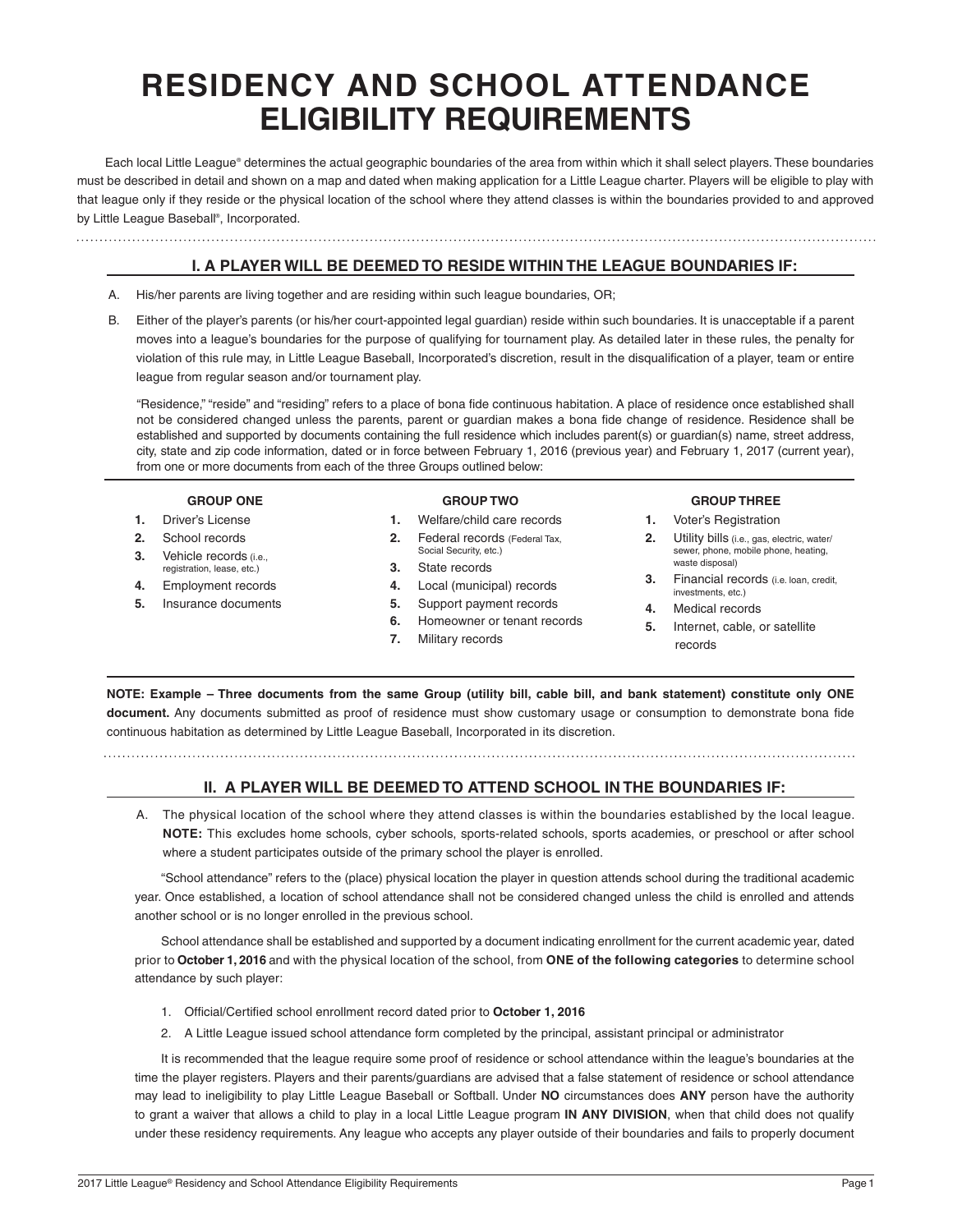# **RESIDENCY AND SCHOOL ATTENDANCE ELIGIBILITY REQUIREMENTS**

Each local Little League® determines the actual geographic boundaries of the area from within which it shall select players. These boundaries must be described in detail and shown on a map and dated when making application for a Little League charter. Players will be eligible to play with that league only if they reside or the physical location of the school where they attend classes is within the boundaries provided to and approved by Little League Baseball® , Incorporated.

# **I. A PLAYER WILL BE DEEMED TO RESIDE WITHIN THE LEAGUE BOUNDARIES IF:**

- A. His/her parents are living together and are residing within such league boundaries, OR;
- B. Either of the player's parents (or his/her court-appointed legal guardian) reside within such boundaries. It is unacceptable if a parent moves into a league's boundaries for the purpose of qualifying for tournament play. As detailed later in these rules, the penalty for violation of this rule may, in Little League Baseball, Incorporated's discretion, result in the disqualification of a player, team or entire league from regular season and/or tournament play.

"Residence," "reside" and "residing" refers to a place of bona fide continuous habitation. A place of residence once established shall not be considered changed unless the parents, parent or guardian makes a bona fide change of residence. Residence shall be established and supported by documents containing the full residence which includes parent(s) or guardian(s) name, street address, city, state and zip code information, dated or in force between February 1, 2016 (previous year) and February 1, 2017 (current year), from one or more documents from each of the three Groups outlined below:

#### **GROUP ONE**

- **1.** Driver's License
- **2.** School records
- **3.** Vehicle records (i.e.,
- registration, lease, etc.)
- **4.** Employment records
- **5.** Insurance documents

#### **GROUP TWO**

- **1.** Welfare/child care records
- **2.** Federal records (Federal Tax,
- Social Security, etc.) **3.** State records
- 
- **4.** Local (municipal) records
- **5.** Support payment records
- **6.** Homeowner or tenant records
- **7.** Military records

#### **GROUP THREE**

- **1.** Voter's Registration
- **2.** Utility bills (i.e., gas, electric, water/ sewer, phone, mobile phone, heating, waste disposal)
- **3.** Financial records (i.e. loan, credit, investments, etc.)
- **4.** Medical records
- **5.** Internet, cable, or satellite records

**NOTE: Example – Three documents from the same Group (utility bill, cable bill, and bank statement) constitute only ONE document.** Any documents submitted as proof of residence must show customary usage or consumption to demonstrate bona fide continuous habitation as determined by Little League Baseball, Incorporated in its discretion.

# **II. A PLAYER WILL BE DEEMED TO ATTEND SCHOOL IN THE BOUNDARIES IF:**

A. The physical location of the school where they attend classes is within the boundaries established by the local league. **NOTE:** This excludes home schools, cyber schools, sports-related schools, sports academies, or preschool or after school where a student participates outside of the primary school the player is enrolled.

"School attendance" refers to the (place) physical location the player in question attends school during the traditional academic year. Once established, a location of school attendance shall not be considered changed unless the child is enrolled and attends another school or is no longer enrolled in the previous school.

School attendance shall be established and supported by a document indicating enrollment for the current academic year, dated prior to **October 1, 2016** and with the physical location of the school, from **ONE of the following categories** to determine school attendance by such player:

- 1. Official/Certified school enrollment record dated prior to **October 1, 2016**
- 2. A Little League issued school attendance form completed by the principal, assistant principal or administrator

It is recommended that the league require some proof of residence or school attendance within the league's boundaries at the time the player registers. Players and their parents/guardians are advised that a false statement of residence or school attendance may lead to ineligibility to play Little League Baseball or Softball. Under **NO** circumstances does **ANY** person have the authority to grant a waiver that allows a child to play in a local Little League program **IN ANY DIVISION**, when that child does not qualify under these residency requirements. Any league who accepts any player outside of their boundaries and fails to properly document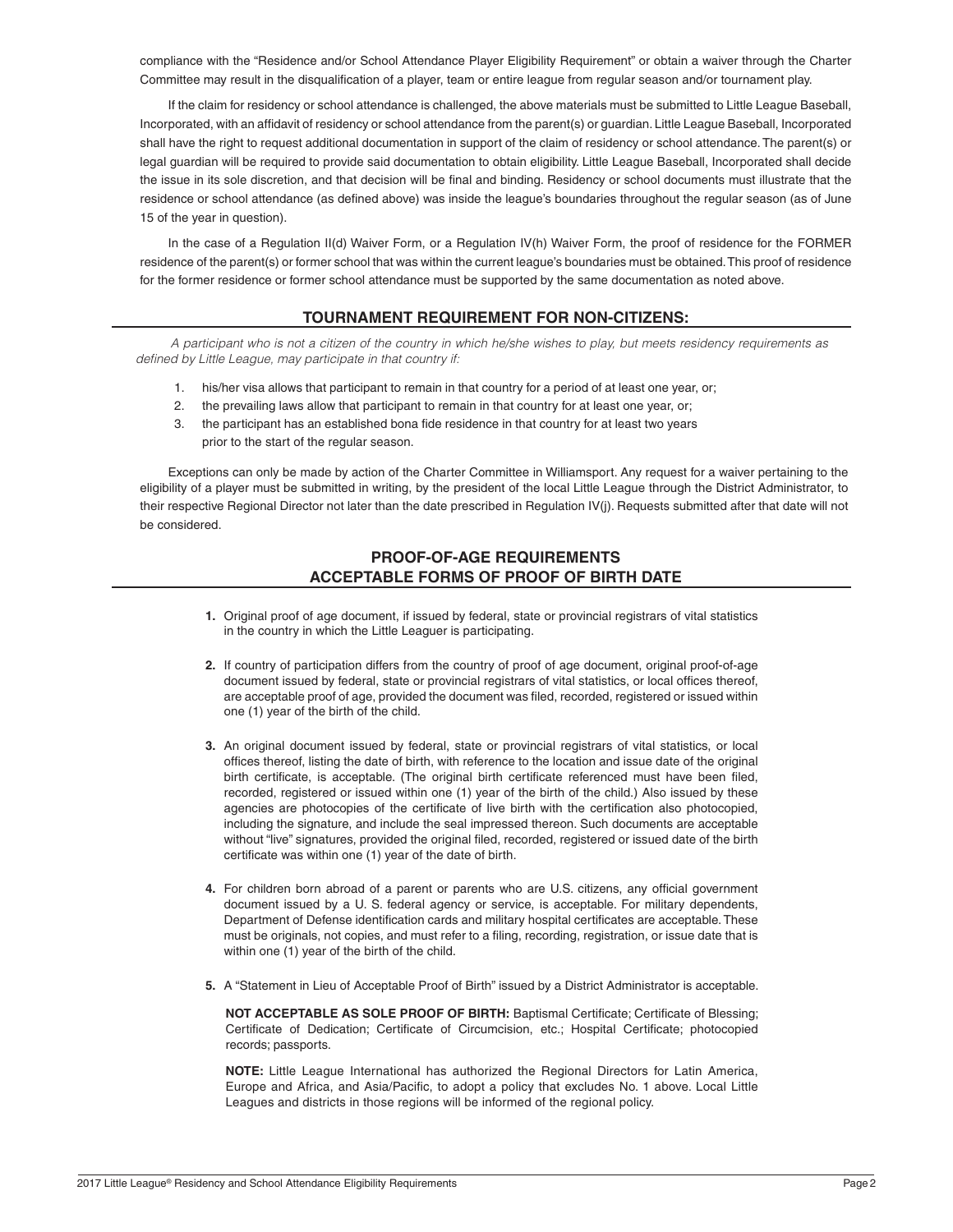compliance with the "Residence and/or School Attendance Player Eligibility Requirement" or obtain a waiver through the Charter Committee may result in the disqualification of a player, team or entire league from regular season and/or tournament play.

If the claim for residency or school attendance is challenged, the above materials must be submitted to Little League Baseball, Incorporated, with an affidavit of residency or school attendance from the parent(s) or guardian. Little League Baseball, Incorporated shall have the right to request additional documentation in support of the claim of residency or school attendance. The parent(s) or legal guardian will be required to provide said documentation to obtain eligibility. Little League Baseball, Incorporated shall decide the issue in its sole discretion, and that decision will be final and binding. Residency or school documents must illustrate that the residence or school attendance (as defined above) was inside the league's boundaries throughout the regular season (as of June 15 of the year in question).

In the case of a Regulation II(d) Waiver Form, or a Regulation IV(h) Waiver Form, the proof of residence for the FORMER residence of the parent(s) or former school that was within the current league's boundaries must be obtained. This proof of residence for the former residence or former school attendance must be supported by the same documentation as noted above.

### **TOURNAMENT REQUIREMENT FOR NON-CITIZENS:**

 *A participant who is not a citizen of the country in which he/she wishes to play, but meets residency requirements as defined by Little League, may participate in that country if:*

- 1. his/her visa allows that participant to remain in that country for a period of at least one year, or;
- 2. the prevailing laws allow that participant to remain in that country for at least one year, or;
- 3. the participant has an established bona fide residence in that country for at least two years prior to the start of the regular season.

Exceptions can only be made by action of the Charter Committee in Williamsport. Any request for a waiver pertaining to the eligibility of a player must be submitted in writing, by the president of the local Little League through the District Administrator, to their respective Regional Director not later than the date prescribed in Regulation IV(j). Requests submitted after that date will not be considered.

# **PROOF-OF-AGE REQUIREMENTS ACCEPTABLE FORMS OF PROOF OF BIRTH DATE**

- **1.** Original proof of age document, if issued by federal, state or provincial registrars of vital statistics in the country in which the Little Leaguer is participating.
- **2.** If country of participation differs from the country of proof of age document, original proof-of-age document issued by federal, state or provincial registrars of vital statistics, or local offices thereof, are acceptable proof of age, provided the document was filed, recorded, registered or issued within one (1) year of the birth of the child.
- **3.** An original document issued by federal, state or provincial registrars of vital statistics, or local offices thereof, listing the date of birth, with reference to the location and issue date of the original birth certificate, is acceptable. (The original birth certificate referenced must have been filed, recorded, registered or issued within one (1) year of the birth of the child.) Also issued by these agencies are photocopies of the certificate of live birth with the certification also photocopied, including the signature, and include the seal impressed thereon. Such documents are acceptable without "live" signatures, provided the original filed, recorded, registered or issued date of the birth certificate was within one (1) year of the date of birth.
- **4.** For children born abroad of a parent or parents who are U.S. citizens, any official government document issued by a U. S. federal agency or service, is acceptable. For military dependents, Department of Defense identification cards and military hospital certificates are acceptable. These must be originals, not copies, and must refer to a filing, recording, registration, or issue date that is within one (1) year of the birth of the child.
- **5.** A "Statement in Lieu of Acceptable Proof of Birth" issued by a District Administrator is acceptable.

**NOT ACCEPTABLE AS SOLE PROOF OF BIRTH:** Baptismal Certificate; Certificate of Blessing; Certificate of Dedication; Certificate of Circumcision, etc.; Hospital Certificate; photocopied records; passports.

**NOTE:** Little League International has authorized the Regional Directors for Latin America, Europe and Africa, and Asia/Pacific, to adopt a policy that excludes No. 1 above. Local Little Leagues and districts in those regions will be informed of the regional policy.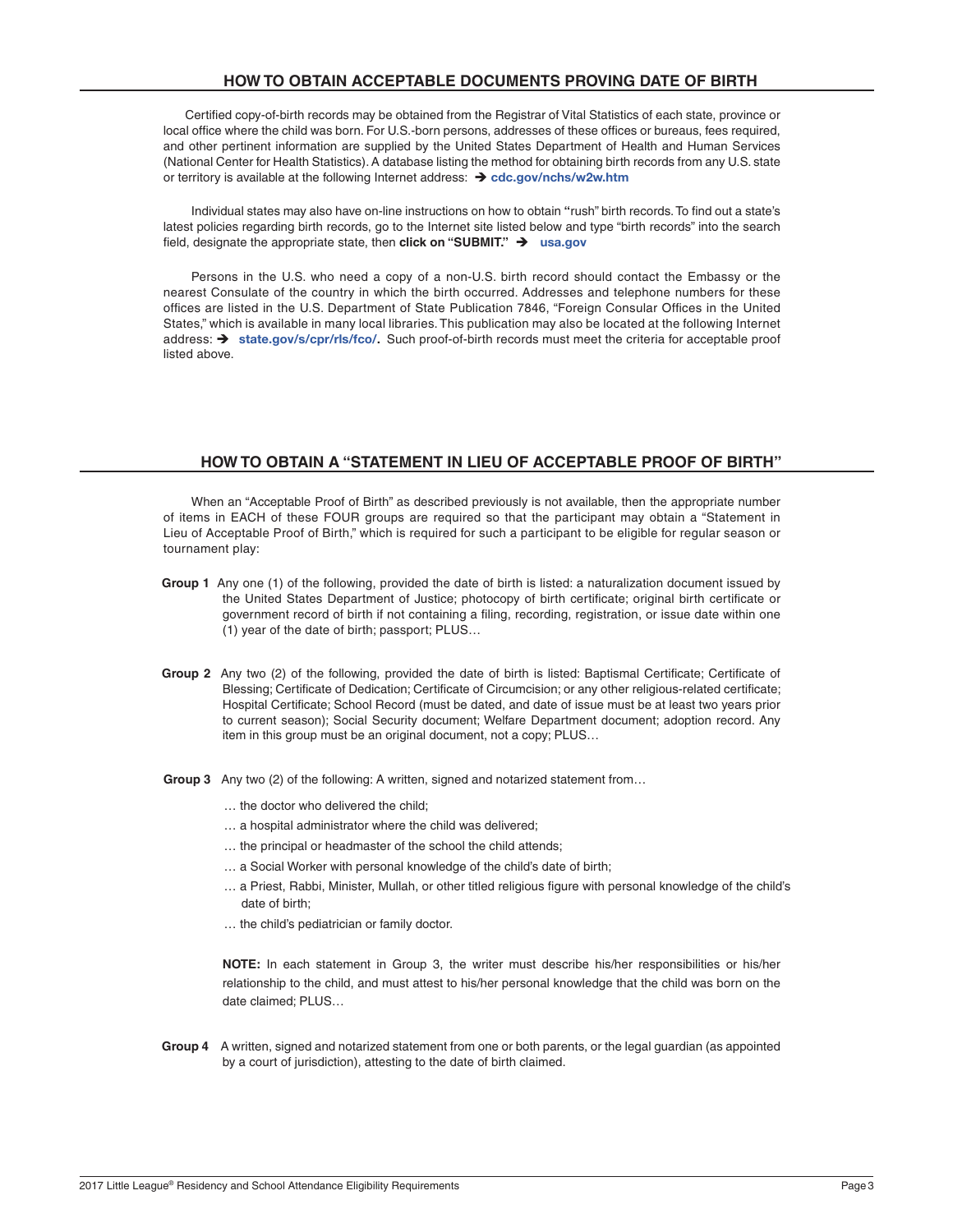## **HOW TO OBTAIN ACCEPTABLE DOCUMENTS PROVING DATE OF BIRTH**

Certified copy-of-birth records may be obtained from the Registrar of Vital Statistics of each state, province or local office where the child was born. For U.S.-born persons, addresses of these offices or bureaus, fees required, and other pertinent information are supplied by the United States Department of Health and Human Services (National Center for Health Statistics). A database listing the method for obtaining birth records from any U.S. state or territory is available at the following Internet address:  $\rightarrow$  cdc.gov/nchs/w2w.htm

Individual states may also have on-line instructions on how to obtain **"**rush" birth records. To find out a state's latest policies regarding birth records, go to the Internet site listed below and type "birth records" into the search field, designate the appropriate state, then **click on "SUBMIT."**  $\rightarrow$  usa.gov

Persons in the U.S. who need a copy of a non-U.S. birth record should contact the Embassy or the nearest Consulate of the country in which the birth occurred. Addresses and telephone numbers for these offices are listed in the U.S. Department of State Publication 7846, "Foreign Consular Offices in the United States," which is available in many local libraries. This publication may also be located at the following Internet address:  $\rightarrow$  state.gov/s/cpr/rls/fco/. Such proof-of-birth records must meet the criteria for acceptable proof listed above.

#### **HOW TO OBTAIN A "STATEMENT IN LIEU OF ACCEPTABLE PROOF OF BIRTH"**

When an "Acceptable Proof of Birth" as described previously is not available, then the appropriate number of items in EACH of these FOUR groups are required so that the participant may obtain a "Statement in Lieu of Acceptable Proof of Birth," which is required for such a participant to be eligible for regular season or tournament play:

- **Group 1** Any one (1) of the following, provided the date of birth is listed: a naturalization document issued by the United States Department of Justice; photocopy of birth certificate; original birth certificate or government record of birth if not containing a filing, recording, registration, or issue date within one (1) year of the date of birth; passport; PLUS…
- **Group 2** Any two (2) of the following, provided the date of birth is listed: Baptismal Certificate; Certificate of Blessing; Certificate of Dedication; Certificate of Circumcision; or any other religious-related certificate; Hospital Certificate; School Record (must be dated, and date of issue must be at least two years prior to current season); Social Security document; Welfare Department document; adoption record. Any item in this group must be an original document, not a copy; PLUS…
- **Group 3** Any two (2) of the following: A written, signed and notarized statement from…
	- … the doctor who delivered the child;
	- … a hospital administrator where the child was delivered;
	- … the principal or headmaster of the school the child attends;
	- … a Social Worker with personal knowledge of the child's date of birth;
	- … a Priest, Rabbi, Minister, Mullah, or other titled religious figure with personal knowledge of the child's date of birth;
	- … the child's pediatrician or family doctor.

**NOTE:** In each statement in Group 3, the writer must describe his/her responsibilities or his/her relationship to the child, and must attest to his/her personal knowledge that the child was born on the date claimed; PLUS…

**Group 4** A written, signed and notarized statement from one or both parents, or the legal guardian (as appointed by a court of jurisdiction), attesting to the date of birth claimed.